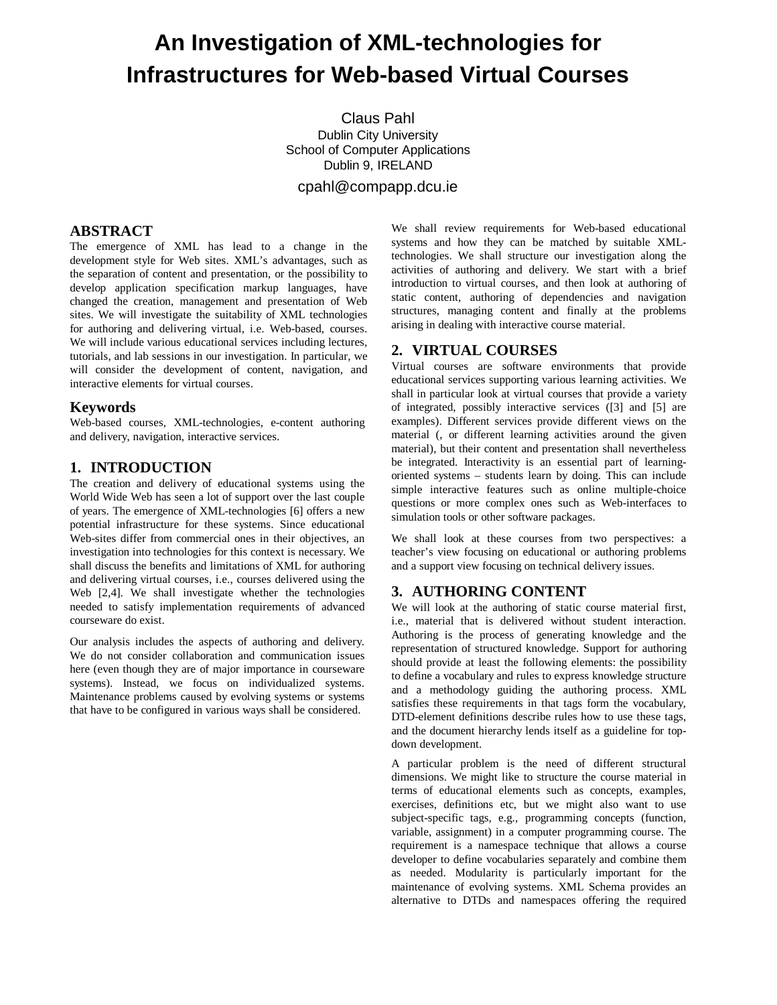# **An Investigation of XML-technologies for Infrastructures for Web-based Virtual Courses**

Claus Pahl Dublin City University School of Computer Applications Dublin 9, IRELAND

cpahl@compapp.dcu.ie

# **ABSTRACT**

The emergence of XML has lead to a change in the development style for Web sites. XML's advantages, such as the separation of content and presentation, or the possibility to develop application specification markup languages, have changed the creation, management and presentation of Web sites. We will investigate the suitability of XML technologies for authoring and delivering virtual, i.e. Web-based, courses. We will include various educational services including lectures, tutorials, and lab sessions in our investigation. In particular, we will consider the development of content, navigation, and interactive elements for virtual courses.

## **Keywords**

Web-based courses, XML-technologies, e-content authoring and delivery, navigation, interactive services.

# **1. INTRODUCTION**

The creation and delivery of educational systems using the World Wide Web has seen a lot of support over the last couple of years. The emergence of XML-technologies [6] offers a new potential infrastructure for these systems. Since educational Web-sites differ from commercial ones in their objectives, an investigation into technologies for this context is necessary. We shall discuss the benefits and limitations of XML for authoring and delivering virtual courses, i.e., courses delivered using the Web [2,4]. We shall investigate whether the technologies needed to satisfy implementation requirements of advanced courseware do exist.

Our analysis includes the aspects of authoring and delivery. We do not consider collaboration and communication issues here (even though they are of major importance in courseware systems). Instead, we focus on individualized systems. Maintenance problems caused by evolving systems or systems that have to be configured in various ways shall be considered.

We shall review requirements for Web-based educational systems and how they can be matched by suitable XMLtechnologies. We shall structure our investigation along the activities of authoring and delivery. We start with a brief introduction to virtual courses, and then look at authoring of static content, authoring of dependencies and navigation structures, managing content and finally at the problems arising in dealing with interactive course material.

#### **2. VIRTUAL COURSES**

Virtual courses are software environments that provide educational services supporting various learning activities. We shall in particular look at virtual courses that provide a variety of integrated, possibly interactive services ([3] and [5] are examples). Different services provide different views on the material (, or different learning activities around the given material), but their content and presentation shall nevertheless be integrated. Interactivity is an essential part of learningoriented systems – students learn by doing. This can include simple interactive features such as online multiple-choice questions or more complex ones such as Web-interfaces to simulation tools or other software packages.

We shall look at these courses from two perspectives: a teacher's view focusing on educational or authoring problems and a support view focusing on technical delivery issues.

#### **3. AUTHORING CONTENT**

We will look at the authoring of static course material first, i.e., material that is delivered without student interaction. Authoring is the process of generating knowledge and the representation of structured knowledge. Support for authoring should provide at least the following elements: the possibility to define a vocabulary and rules to express knowledge structure and a methodology guiding the authoring process. XML satisfies these requirements in that tags form the vocabulary, DTD-element definitions describe rules how to use these tags, and the document hierarchy lends itself as a guideline for topdown development.

A particular problem is the need of different structural dimensions. We might like to structure the course material in terms of educational elements such as concepts, examples, exercises, definitions etc, but we might also want to use subject-specific tags, e.g., programming concepts (function, variable, assignment) in a computer programming course. The requirement is a namespace technique that allows a course developer to define vocabularies separately and combine them as needed. Modularity is particularly important for the maintenance of evolving systems. XML Schema provides an alternative to DTDs and namespaces offering the required